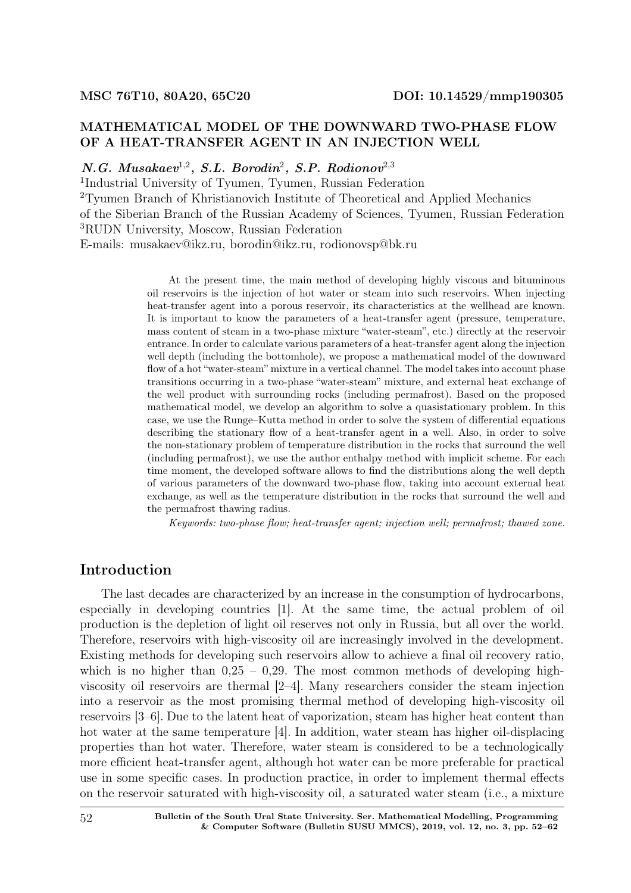# MATHEMATICAL MODEL OF THE DOWNWARD TWO-PHASE FLOW OF A HEAT-TRANSFER AGENT IN AN INJECTION WELL

## $N.G. Musakaev<sup>1,2</sup>, S.L. Borodin<sup>2</sup>, S.P. Rodionov<sup>2,3</sup>$

1 Industrial University of Tyumen, Tyumen, Russian Federation <sup>2</sup>Tyumen Branch of Khristianovich Institute of Theoretical and Applied Mechanics of the Siberian Branch of the Russian Academy of Sciences, Tyumen, Russian Federation <sup>3</sup>RUDN University, Moscow, Russian Federation E-mails: musakaev@ikz.ru, borodin@ikz.ru, rodionovsp@bk.ru

> At the present time, the main method of developing highly viscous and bituminous oil reservoirs is the injection of hot water or steam into such reservoirs. When injecting heat-transfer agent into a porous reservoir, its characteristics at the wellhead are known. It is important to know the parameters of a heat-transfer agent (pressure, temperature, mass content of steam in a two-phase mixture "water-steam", etc.) directly at the reservoir entrance. In order to calculate various parameters of a heat-transfer agent along the injection well depth (including the bottomhole), we propose a mathematical model of the downward flow of a hot "water-steam" mixture in a vertical channel. The model takes into account phase transitions occurring in a two-phase "water-steam" mixture, and external heat exchange of the well product with surrounding rocks (including permafrost). Based on the proposed mathematical model, we develop an algorithm to solve a quasistationary problem. In this case, we use the Runge–Kutta method in order to solve the system of differential equations describing the stationary flow of a heat-transfer agent in a well. Also, in order to solve the non-stationary problem of temperature distribution in the rocks that surround the well (including permafrost), we use the author enthalpy method with implicit scheme. For each time moment, the developed software allows to find the distributions along the well depth of various parameters of the downward two-phase flow, taking into account external heat exchange, as well as the temperature distribution in the rocks that surround the well and the permafrost thawing radius.

Keywords: two-phase flow; heat-transfer agent; injection well; permafrost; thawed zone.

# Introduction

The last decades are characterized by an increase in the consumption of hydrocarbons, especially in developing countries [1]. At the same time, the actual problem of oil production is the depletion of light oil reserves not only in Russia, but all over the world. Therefore, reservoirs with high-viscosity oil are increasingly involved in the development. Existing methods for developing such reservoirs allow to achieve a final oil recovery ratio, which is no higher than  $0.25 - 0.29$ . The most common methods of developing highviscosity oil reservoirs are thermal [2–4]. Many researchers consider the steam injection into a reservoir as the most promising thermal method of developing high-viscosity oil reservoirs [3–6]. Due to the latent heat of vaporization, steam has higher heat content than hot water at the same temperature [4]. In addition, water steam has higher oil-displacing properties than hot water. Therefore, water steam is considered to be a technologically more efficient heat-transfer agent, although hot water can be more preferable for practical use in some specific cases. In production practice, in order to implement thermal effects on the reservoir saturated with high-viscosity oil, a saturated water steam (i.e., a mixture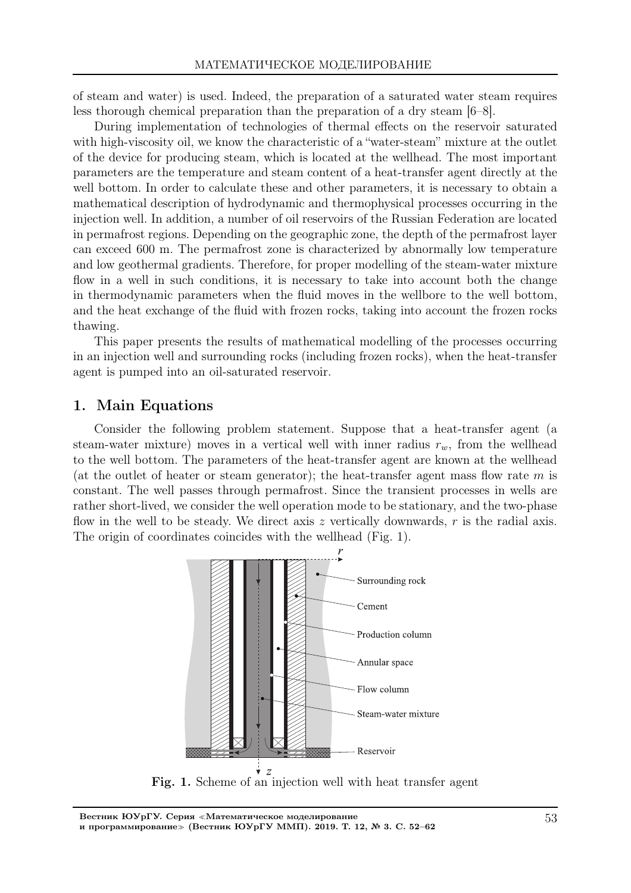of steam and water) is used. Indeed, the preparation of a saturated water steam requires less thorough chemical preparation than the preparation of a dry steam [6–8].

During implementation of technologies of thermal effects on the reservoir saturated with high-viscosity oil, we know the characteristic of a "water-steam" mixture at the outlet of the device for producing steam, which is located at the wellhead. The most important parameters are the temperature and steam content of a heat-transfer agent directly at the well bottom. In order to calculate these and other parameters, it is necessary to obtain a mathematical description of hydrodynamic and thermophysical processes occurring in the injection well. In addition, a number of oil reservoirs of the Russian Federation are located in permafrost regions. Depending on the geographic zone, the depth of the permafrost layer can exceed 600 m. The permafrost zone is characterized by abnormally low temperature and low geothermal gradients. Therefore, for proper modelling of the steam-water mixture flow in a well in such conditions, it is necessary to take into account both the change in thermodynamic parameters when the fluid moves in the wellbore to the well bottom, and the heat exchange of the fluid with frozen rocks, taking into account the frozen rocks thawing.

This paper presents the results of mathematical modelling of the processes occurring in an injection well and surrounding rocks (including frozen rocks), when the heat-transfer agent is pumped into an oil-saturated reservoir.

## 1. Main Equations

Consider the following problem statement. Suppose that a heat-transfer agent (a steam-water mixture) moves in a vertical well with inner radius  $r_w$ , from the wellhead to the well bottom. The parameters of the heat-transfer agent are known at the wellhead (at the outlet of heater or steam generator); the heat-transfer agent mass flow rate  $m$  is constant. The well passes through permafrost. Since the transient processes in wells are rather short-lived, we consider the well operation mode to be stationary, and the two-phase flow in the well to be steady. We direct axis  $z$  vertically downwards,  $r$  is the radial axis. The origin of coordinates coincides with the wellhead (Fig. 1).

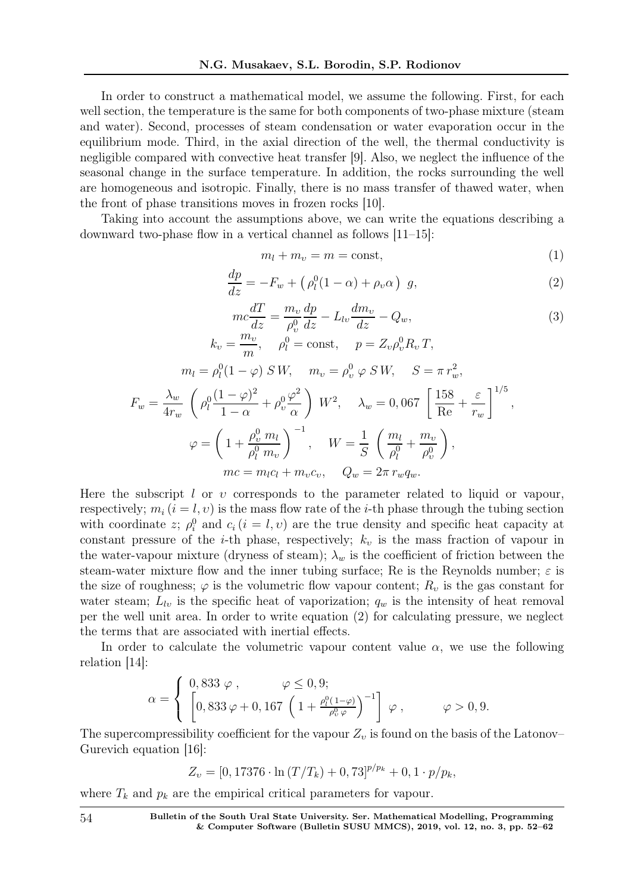In order to construct a mathematical model, we assume the following. First, for each well section, the temperature is the same for both components of two-phase mixture (steam and water). Second, processes of steam condensation or water evaporation occur in the equilibrium mode. Third, in the axial direction of the well, the thermal conductivity is negligible compared with convective heat transfer [9]. Also, we neglect the influence of the seasonal change in the surface temperature. In addition, the rocks surrounding the well are homogeneous and isotropic. Finally, there is no mass transfer of thawed water, when the front of phase transitions moves in frozen rocks [10].

Taking into account the assumptions above, we can write the equations describing a downward two-phase flow in a vertical channel as follows [11–15]:

$$
m_l + m_v = m = \text{const},\tag{1}
$$

$$
\frac{dp}{dz} = -F_w + \left(\rho_l^0 (1 - \alpha) + \rho_v \alpha\right) g,\tag{2}
$$

$$
mc\frac{dT}{dz} = \frac{m_v}{\rho_v^0} \frac{dp}{dz} - L_{lv} \frac{dm_v}{dz} - Q_w,
$$
  
\n
$$
k_v = \frac{m_v}{m}, \quad \rho_l^0 = \text{const}, \quad p = Z_v \rho_v^0 R_v T,
$$
\n(3)

$$
m_l = \rho_l^0 (1 - \varphi) \, S \, W, \quad m_v = \rho_v^0 \, \varphi \, S \, W, \quad S = \pi \, r_w^2,
$$
  

$$
F_w = \frac{\lambda_w}{4r_w} \left( \rho_l^0 \frac{(1 - \varphi)^2}{1 - \alpha} + \rho_v^0 \frac{\varphi^2}{\alpha} \right) \, W^2, \quad \lambda_w = 0,067 \left[ \frac{158}{\text{Re}} + \frac{\varepsilon}{r_w} \right]^{1/5},
$$
  

$$
\varphi = \left( 1 + \frac{\rho_v^0}{\rho_l^0} \frac{m_l}{m_v} \right)^{-1}, \quad W = \frac{1}{S} \left( \frac{m_l}{\rho_l^0} + \frac{m_v}{\rho_v^0} \right),
$$
  

$$
mc = m_l c_l + m_v c_v, \quad Q_w = 2\pi \, r_w q_w.
$$

Here the subscript l or  $v$  corresponds to the parameter related to liquid or vapour, respectively;  $m_i$   $(i = l, v)$  is the mass flow rate of the *i*-th phase through the tubing section with coordinate z;  $\rho_i^0$  and  $c_i$  ( $i = l, v$ ) are the true density and specific heat capacity at constant pressure of the *i*-th phase, respectively;  $k_v$  is the mass fraction of vapour in the water-vapour mixture (dryness of steam);  $\lambda_w$  is the coefficient of friction between the steam-water mixture flow and the inner tubing surface; Re is the Reynolds number;  $\varepsilon$  is the size of roughness;  $\varphi$  is the volumetric flow vapour content;  $R_v$  is the gas constant for water steam;  $L_{lv}$  is the specific heat of vaporization;  $q_w$  is the intensity of heat removal per the well unit area. In order to write equation (2) for calculating pressure, we neglect the terms that are associated with inertial effects.

In order to calculate the volumetric vapour content value  $\alpha$ , we use the following relation [14]:

$$
\alpha = \begin{cases} 0,833 \varphi, & \varphi \leq 0,9; \\ \left[0,833 \varphi + 0,167 \left(1 + \frac{\rho_l^0(1-\varphi)}{\rho_v^0 \varphi}\right)^{-1}\right] \varphi, & \varphi > 0,9. \end{cases}
$$

The supercompressibility coefficient for the vapour  $Z_v$  is found on the basis of the Latonov– Gurevich equation [16]:

$$
Z_{\nu} = [0, 17376 \cdot \ln (T/T_k) + 0, 73]^{p/p_k} + 0, 1 \cdot p/p_k,
$$

where  $T_k$  and  $p_k$  are the empirical critical parameters for vapour.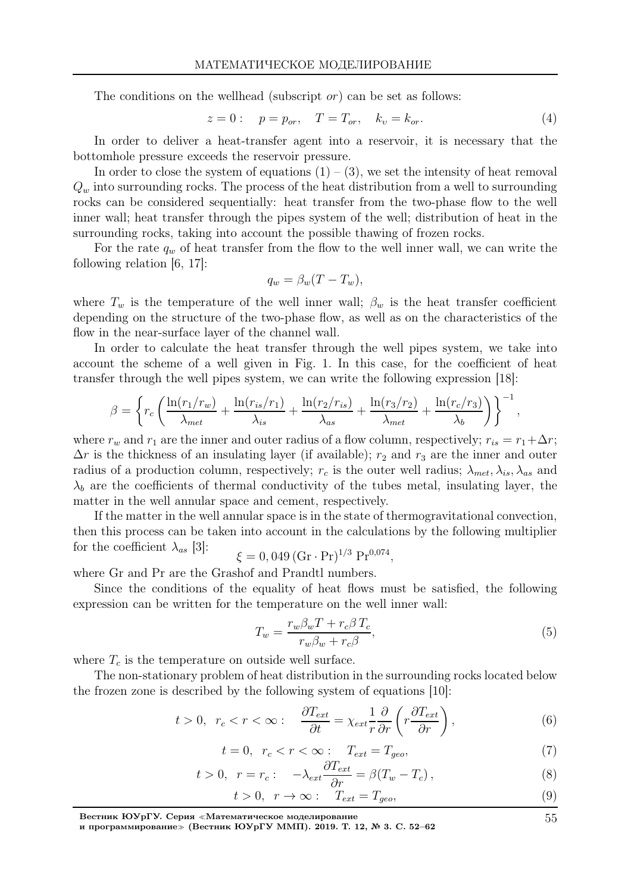The conditions on the wellhead (subscript *or*) can be set as follows:

$$
z = 0:
$$
  $p = p_{or}, T = T_{or}, k_v = k_{or}.$  (4)

In order to deliver a heat-transfer agent into a reservoir, it is necessary that the bottomhole pressure exceeds the reservoir pressure.

In order to close the system of equations  $(1) - (3)$ , we set the intensity of heat removal  $Q_w$  into surrounding rocks. The process of the heat distribution from a well to surrounding rocks can be considered sequentially: heat transfer from the two-phase flow to the well inner wall; heat transfer through the pipes system of the well; distribution of heat in the surrounding rocks, taking into account the possible thawing of frozen rocks.

For the rate  $q_w$  of heat transfer from the flow to the well inner wall, we can write the following relation [6, 17]:

$$
q_w = \beta_w (T - T_w),
$$

where  $T_w$  is the temperature of the well inner wall;  $\beta_w$  is the heat transfer coefficient depending on the structure of the two-phase flow, as well as on the characteristics of the flow in the near-surface layer of the channel wall.

In order to calculate the heat transfer through the well pipes system, we take into account the scheme of a well given in Fig. 1. In this case, for the coefficient of heat transfer through the well pipes system, we can write the following expression [18]:

$$
\beta = \left\{ r_c \left( \frac{\ln(r_1/r_w)}{\lambda_{met}} + \frac{\ln(r_{is}/r_1)}{\lambda_{is}} + \frac{\ln(r_2/r_{is})}{\lambda_{as}} + \frac{\ln(r_3/r_2)}{\lambda_{met}} + \frac{\ln(r_c/r_3)}{\lambda_b} \right) \right\}^{-1},
$$

where  $r_w$  and  $r_1$  are the inner and outer radius of a flow column, respectively;  $r_{is} = r_1 + \Delta r$ ;  $\Delta r$  is the thickness of an insulating layer (if available);  $r_2$  and  $r_3$  are the inner and outer radius of a production column, respectively;  $r_c$  is the outer well radius;  $\lambda_{met}, \lambda_{is}, \lambda_{as}$  and  $\lambda_b$  are the coefficients of thermal conductivity of the tubes metal, insulating layer, the matter in the well annular space and cement, respectively.

If the matter in the well annular space is in the state of thermogravitational convection, then this process can be taken into account in the calculations by the following multiplier for the coefficient  $\lambda_{as}$  [3]:  $\xi = 0,049 \, (\text{Gr} \cdot \text{Pr})^{1/3} \, \text{Pr}^{0.074},$ 

where Gr and Pr are the Grashof and Prandtl numbers.

Since the conditions of the equality of heat flows must be satisfied, the following expression can be written for the temperature on the well inner wall:

$$
T_w = \frac{r_w \beta_w T + r_c \beta T_c}{r_w \beta_w + r_c \beta},\tag{5}
$$

where  $T_c$  is the temperature on outside well surface.

The non-stationary problem of heat distribution in the surrounding rocks located below the frozen zone is described by the following system of equations [10]:

$$
t > 0, \ \ r_c < r < \infty: \quad \frac{\partial T_{ext}}{\partial t} = \chi_{ext} \frac{1}{r} \frac{\partial}{\partial r} \left( r \frac{\partial T_{ext}}{\partial r} \right), \tag{6}
$$

$$
t = 0, \quad r_c < r < \infty: \quad T_{ext} = T_{geo}, \tag{7}
$$

$$
t > 0, \quad r = r_c: \quad -\lambda_{ext} \frac{\partial T_{ext}}{\partial r} = \beta (T_w - T_c), \tag{8}
$$

$$
t > 0, \quad r \to \infty: \quad T_{ext} = T_{geo}, \tag{9}
$$

55

Вестник ЮУрГУ. Серия <sup>≪</sup>Математическое моделирование

и программирование<sup>≫</sup> (Вестник ЮУрГУ ММП). 2019. Т. 12, № 3. С. 52–62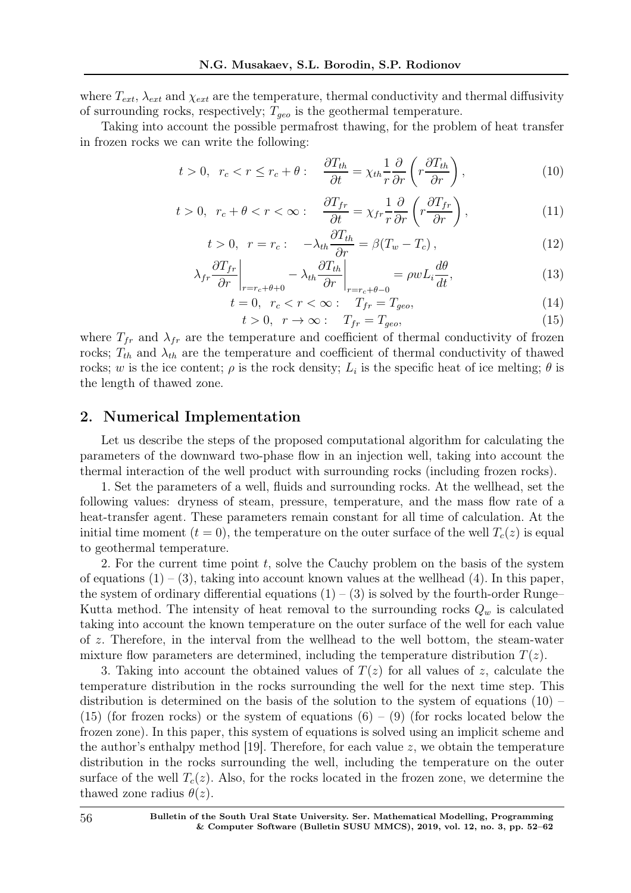where  $T_{ext}$ ,  $\lambda_{ext}$  and  $\chi_{ext}$  are the temperature, thermal conductivity and thermal diffusivity of surrounding rocks, respectively;  $T_{geo}$  is the geothermal temperature.

Taking into account the possible permafrost thawing, for the problem of heat transfer in frozen rocks we can write the following:

$$
t > 0, \ \ r_c < r \le r_c + \theta: \quad \frac{\partial T_{th}}{\partial t} = \chi_{th} \frac{1}{r} \frac{\partial}{\partial r} \left( r \frac{\partial T_{th}}{\partial r} \right), \tag{10}
$$

$$
t > 0, \ r_c + \theta < r < \infty: \quad \frac{\partial T_{fr}}{\partial t} = \chi_{fr} \frac{1}{r} \frac{\partial}{\partial r} \left( r \frac{\partial T_{fr}}{\partial r} \right), \tag{11}
$$

$$
t > 0, \quad r = r_c: \quad -\lambda_{th} \frac{\partial T_{th}}{\partial r} = \beta (T_w - T_c), \tag{12}
$$

$$
\lambda_{fr} \frac{\partial T_{fr}}{\partial r}\bigg|_{r=r_c+\theta+0} - \lambda_{th} \frac{\partial T_{th}}{\partial r}\bigg|_{r=r_c+\theta-0} = \rho w L_i \frac{d\theta}{dt},\tag{13}
$$

$$
t = 0, \quad r_c < r < \infty: \quad T_{fr} = T_{geo}, \tag{14}
$$

$$
t > 0, \quad r \to \infty: \quad T_{fr} = T_{geo}, \tag{15}
$$

where  $T_{fr}$  and  $\lambda_{fr}$  are the temperature and coefficient of thermal conductivity of frozen rocks;  $T_{th}$  and  $\lambda_{th}$  are the temperature and coefficient of thermal conductivity of thawed rocks; w is the ice content;  $\rho$  is the rock density;  $L_i$  is the specific heat of ice melting;  $\theta$  is the length of thawed zone.

## 2. Numerical Implementation

Let us describe the steps of the proposed computational algorithm for calculating the parameters of the downward two-phase flow in an injection well, taking into account the thermal interaction of the well product with surrounding rocks (including frozen rocks).

1. Set the parameters of a well, fluids and surrounding rocks. At the wellhead, set the following values: dryness of steam, pressure, temperature, and the mass flow rate of a heat-transfer agent. These parameters remain constant for all time of calculation. At the initial time moment  $(t = 0)$ , the temperature on the outer surface of the well  $T_c(z)$  is equal to geothermal temperature.

2. For the current time point  $t$ , solve the Cauchy problem on the basis of the system of equations  $(1) - (3)$ , taking into account known values at the wellhead  $(4)$ . In this paper, the system of ordinary differential equations  $(1) - (3)$  is solved by the fourth-order Runge– Kutta method. The intensity of heat removal to the surrounding rocks  $Q_w$  is calculated taking into account the known temperature on the outer surface of the well for each value of z. Therefore, in the interval from the wellhead to the well bottom, the steam-water mixture flow parameters are determined, including the temperature distribution  $T(z)$ .

3. Taking into account the obtained values of  $T(z)$  for all values of z, calculate the temperature distribution in the rocks surrounding the well for the next time step. This distribution is determined on the basis of the solution to the system of equations  $(10)$  –  $(15)$  (for frozen rocks) or the system of equations  $(6) - (9)$  (for rocks located below the frozen zone). In this paper, this system of equations is solved using an implicit scheme and the author's enthalpy method [19]. Therefore, for each value  $z$ , we obtain the temperature distribution in the rocks surrounding the well, including the temperature on the outer surface of the well  $T_c(z)$ . Also, for the rocks located in the frozen zone, we determine the thawed zone radius  $\theta(z)$ .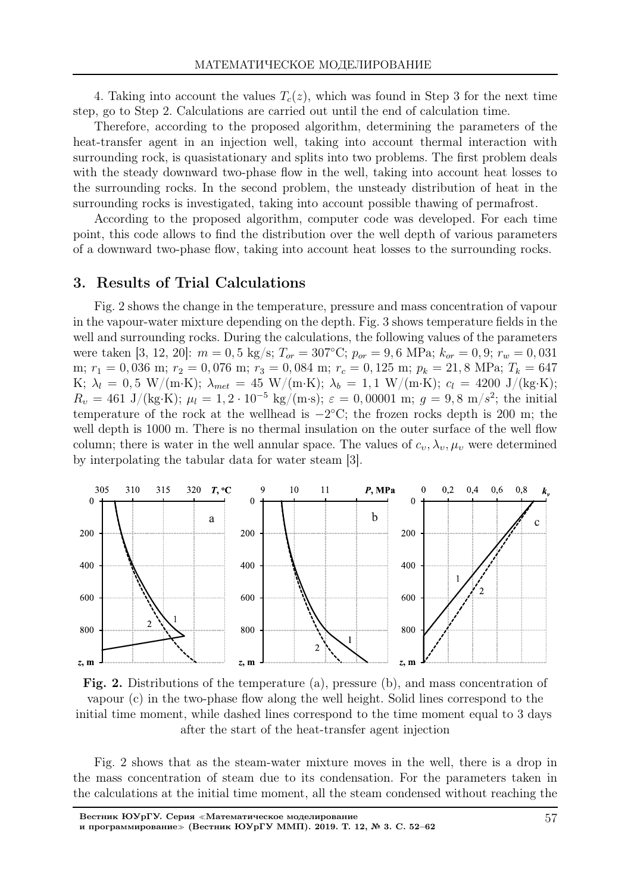4. Taking into account the values  $T_c(z)$ , which was found in Step 3 for the next time step, go to Step 2. Calculations are carried out until the end of calculation time.

Therefore, according to the proposed algorithm, determining the parameters of the heat-transfer agent in an injection well, taking into account thermal interaction with surrounding rock, is quasistationary and splits into two problems. The first problem deals with the steady downward two-phase flow in the well, taking into account heat losses to the surrounding rocks. In the second problem, the unsteady distribution of heat in the surrounding rocks is investigated, taking into account possible thawing of permafrost.

According to the proposed algorithm, computer code was developed. For each time point, this code allows to find the distribution over the well depth of various parameters of a downward two-phase flow, taking into account heat losses to the surrounding rocks.

#### 3. Results of Trial Calculations

Fig. 2 shows the change in the temperature, pressure and mass concentration of vapour in the vapour-water mixture depending on the depth. Fig. 3 shows temperature fields in the well and surrounding rocks. During the calculations, the following values of the parameters were taken [3, 12, 20]:  $m = 0.5$  kg/s;  $T_{or} = 307^{\circ}\text{C}$ ;  $p_{or} = 9.6$  MPa;  $k_{or} = 0.9$ ;  $r_w = 0.031$ m;  $r_1 = 0,036$  m;  $r_2 = 0,076$  m;  $r_3 = 0,084$  m;  $r_c = 0,125$  m;  $p_k = 21,8$  MPa;  $T_k = 647$ K;  $\lambda_l = 0.5 \text{ W/(m·K)}$ ;  $\lambda_{met} = 45 \text{ W/(m·K)}$ ;  $\lambda_b = 1.1 \text{ W/(m·K)}$ ;  $c_l = 4200 \text{ J/(kg·K)}$ ;  $R_v = 461 \text{ J/(kg·K)}$ ;  $\mu_l = 1, 2 \cdot 10^{-5} \text{ kg/(m·s)}$ ;  $\varepsilon = 0,00001 \text{ m}$ ;  $g = 9,8 \text{ m/s}^2$ ; the initial temperature of the rock at the wellhead is  $-2^{\circ}$ C; the frozen rocks depth is 200 m; the well depth is 1000 m. There is no thermal insulation on the outer surface of the well flow column; there is water in the well annular space. The values of  $c_v, \lambda_v, \mu_v$  were determined by interpolating the tabular data for water steam [3].



Fig. 2. Distributions of the temperature (a), pressure (b), and mass concentration of vapour (c) in the two-phase flow along the well height. Solid lines correspond to the initial time moment, while dashed lines correspond to the time moment equal to 3 days after the start of the heat-transfer agent injection

Fig. 2 shows that as the steam-water mixture moves in the well, there is a drop in the mass concentration of steam due to its condensation. For the parameters taken in the calculations at the initial time moment, all the steam condensed without reaching the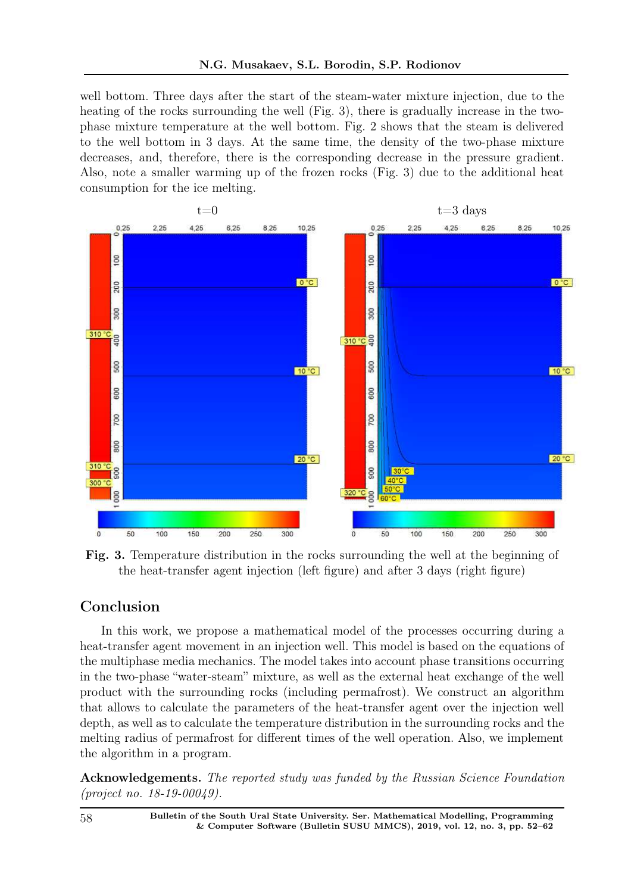well bottom. Three days after the start of the steam-water mixture injection, due to the heating of the rocks surrounding the well (Fig. 3), there is gradually increase in the twophase mixture temperature at the well bottom. Fig. 2 shows that the steam is delivered to the well bottom in 3 days. At the same time, the density of the two-phase mixture decreases, and, therefore, there is the corresponding decrease in the pressure gradient. Also, note a smaller warming up of the frozen rocks (Fig. 3) due to the additional heat consumption for the ice melting.



Fig. 3. Temperature distribution in the rocks surrounding the well at the beginning of the heat-transfer agent injection (left figure) and after 3 days (right figure)

# Conclusion

In this work, we propose a mathematical model of the processes occurring during a heat-transfer agent movement in an injection well. This model is based on the equations of the multiphase media mechanics. The model takes into account phase transitions occurring in the two-phase "water-steam" mixture, as well as the external heat exchange of the well product with the surrounding rocks (including permafrost). We construct an algorithm that allows to calculate the parameters of the heat-transfer agent over the injection well depth, as well as to calculate the temperature distribution in the surrounding rocks and the melting radius of permafrost for different times of the well operation. Also, we implement the algorithm in a program.

Acknowledgements. The reported study was funded by the Russian Science Foundation (project no. 18-19-00049).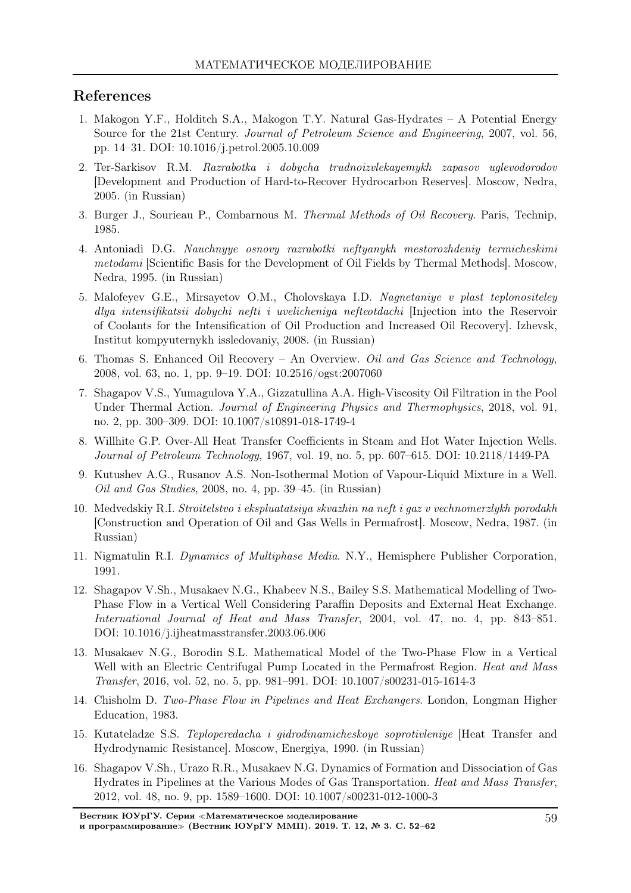# References

- 1. Makogon Y.F., Holditch S.A., Makogon T.Y. Natural Gas-Hydrates A Potential Energy Source for the 21st Century. Journal of Petroleum Science and Engineering, 2007, vol. 56, pp. 14–31. DOI: 10.1016/j.petrol.2005.10.009
- 2. Ter-Sarkisov R.M. Razrabotka i dobycha trudnoizvlekayemykh zapasov uglevodorodov [Development and Production of Hard-to-Recover Hydrocarbon Reserves]. Moscow, Nedra, 2005. (in Russian)
- 3. Burger J., Sourieau P., Combarnous M. Thermal Methods of Oil Recovery. Paris, Technip, 1985.
- 4. Antoniadi D.G. Nauchnyye osnovy razrabotki neftyanykh mestorozhdeniy termicheskimi metodami [Scientific Basis for the Development of Oil Fields by Thermal Methods]. Moscow, Nedra, 1995. (in Russian)
- 5. Malofeyev G.E., Mirsayetov O.M., Cholovskaya I.D. Nagnetaniye v plast teplonositeley dlya intensifikatsii dobychi nefti i uvelicheniya nefteotdachi [Injection into the Reservoir of Coolants for the Intensification of Oil Production and Increased Oil Recovery]. Izhevsk, Institut kompyuternykh issledovaniy, 2008. (in Russian)
- 6. Thomas S. Enhanced Oil Recovery An Overview. Oil and Gas Science and Technology, 2008, vol. 63, no. 1, pp. 9–19. DOI: 10.2516/ogst:2007060
- 7. Shagapov V.S., Yumagulova Y.A., Gizzatullina A.A. High-Viscosity Oil Filtration in the Pool Under Thermal Action. Journal of Engineering Physics and Thermophysics, 2018, vol. 91, no. 2, pp. 300–309. DOI: 10.1007/s10891-018-1749-4
- 8. Willhite G.P. Over-All Heat Transfer Coefficients in Steam and Hot Water Injection Wells. Journal of Petroleum Technology, 1967, vol. 19, no. 5, pp. 607–615. DOI: 10.2118/1449-PA
- 9. Kutushev A.G., Rusanov A.S. Non-Isothermal Motion of Vapour-Liquid Mixture in a Well. Oil and Gas Studies, 2008, no. 4, pp. 39–45. (in Russian)
- 10. Medvedskiy R.I. Stroitelstvo i ekspluatatsiya skvazhin na neft i gaz v vechnomerzlykh porodakh [Construction and Operation of Oil and Gas Wells in Permafrost]. Мoscow, Nedra, 1987. (in Russian)
- 11. Nigmatulin R.I. Dynamics of Multiphase Media. N.Y., Hemisphere Publisher Corporation, 1991.
- 12. Shagapov V.Sh., Musakaev N.G., Khabeev N.S., Bailey S.S. Mathematical Modelling of Two-Phase Flow in a Vertical Well Considering Paraffin Deposits and External Heat Exchange. International Journal of Heat and Mass Transfer, 2004, vol. 47, no. 4, pp. 843–851. DOI: 10.1016/j.ijheatmasstransfer.2003.06.006
- 13. Musakaev N.G., Borodin S.L. Mathematical Model of the Two-Phase Flow in a Vertical Well with an Electric Centrifugal Pump Located in the Permafrost Region. *Heat and Mass* Transfer, 2016, vol. 52, no. 5, pp. 981–991. DOI: 10.1007/s00231-015-1614-3
- 14. Chisholm D. Two-Phase Flow in Pipelines and Heat Exchangers. London, Longman Higher Education, 1983.
- 15. Kutateladze S.S. Teploperedacha i gidrodinamicheskoye soprotivleniye [Heat Transfer and Hydrodynamic Resistance]. Moscow, Energiya, 1990. (in Russian)
- 16. Shagapov V.Sh., Urazo R.R., Musakaev N.G. Dynamics of Formation and Dissociation of Gas Hydrates in Pipelines at the Various Modes of Gas Transportation. Heat and Mass Transfer, 2012, vol. 48, no. 9, pp. 1589–1600. DOI: 10.1007/s00231-012-1000-3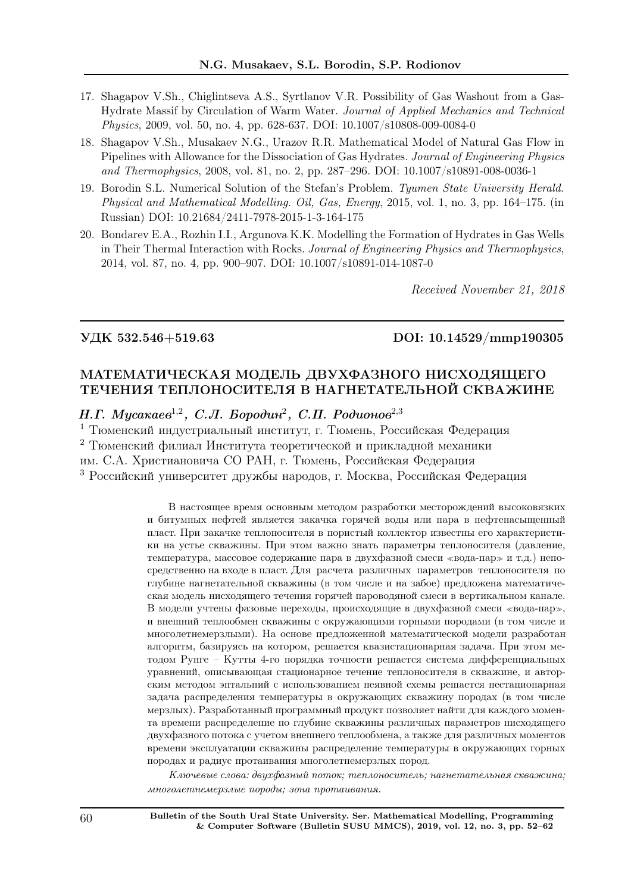- 17. Shagapov V.Sh., Chiglintseva A.S., Syrtlanov V.R. Possibility of Gas Washout from a Gas-Hydrate Massif by Circulation of Warm Water. Journal of Applied Mechanics and Technical Physics, 2009, vol. 50, no. 4, pp. 628-637. DOI: 10.1007/s10808-009-0084-0
- 18. Shagapov V.Sh., Musakaev N.G., Urazov R.R. Mathematical Model of Natural Gas Flow in Pipelines with Allowance for the Dissociation of Gas Hydrates. Journal of Engineering Physics and Thermophysics, 2008, vol. 81, no. 2, pp. 287–296. DOI: 10.1007/s10891-008-0036-1
- 19. Borodin S.L. Numerical Solution of the Stefan's Problem. Tyumen State University Herald. Physical and Mathematical Modelling. Oil, Gas, Energy, 2015, vol. 1, no. 3, pp. 164–175. (in Russian) DOI: 10.21684/2411-7978-2015-1-3-164-175
- 20. Bondarev E.A., Rozhin I.I., Argunova K.K. Modelling the Formation of Hydrates in Gas Wells in Their Thermal Interaction with Rocks. Journal of Engineering Physics and Thermophysics, 2014, vol. 87, no. 4, pp. 900–907. DOI: 10.1007/s10891-014-1087-0

Received November 21, 2018

### УДК 532.546+519.63 DOI: 10.14529/mmp190305

# МАТЕМАТИЧЕСКАЯ МОДЕЛЬ ДВУХФАЗНОГО НИСХОДЯЩЕГО ТЕЧЕНИЯ ТЕПЛОНОСИТЕЛЯ В НАГНЕТАТЕЛЬНОЙ СКВАЖИНЕ

Н.Г. Мусакаев<sup>1,2</sup>, С.Л. Бородин<sup>2</sup>, С.П. Родионов<sup>2,3</sup>

<sup>1</sup> Тюменский индустриальный институт, г. Тюмень, Российская Федерация

<sup>2</sup> Тюменский филиал Института теоретической и прикладной механики

им. С.А. Христиановича СО РАН, г. Тюмень, Российская Федерация

<sup>3</sup> Российский университет дружбы народов, г. Москва, Российская Федерация

В настоящее время основным методом разработки месторождений высоковязких и битумных нефтей является закачка горячей воды или пара в нефтенасыщенный пласт. При закачке теплоносителя в пористый коллектор известны его характеристики на устье скважины. При этом важно знать параметры теплоносителя (давление, температура, массовое содержание пара в двухфазной смеси <sup>≪</sup>вода-пар<sup>≫</sup> и т.д.) непосредственно на входе в пласт. Для расчета различных параметров теплоносителя по глубине нагнетательной скважины (в том числе и на забое) предложена математическая модель нисходящего течения горячей пароводяной смеси в вертикальном канале. В модели учтены фазовые переходы, происходящие в двухфазной смеси <sup>≪</sup>вода-пар≫, и внешний теплообмен скважины с окружающими горными породами (в том числе и многолетнемерзлыми). На основе предложенной математической модели разработан алгоритм, базируясь на котором, решается квазистационарная задача. При этом методом Рунге – Кутты 4-го порядка точности решается система дифференциальных уравнений, описывающая стационарное течение теплоносителя в скважине, и авторским методом энтальпий с использованием неявной схемы решается нестационарная задача распределения температуры в окружающих скважину породах (в том числе мерзлых). Разработанный программный продукт позволяет найти для каждого момента времени распределение по глубине скважины различных параметров нисходящего двухфазного потока с учетом внешнего теплообмена, а также для различных моментов времени эксплуатации скважины распределение температуры в окружающих горных породах и радиус протаивания многолетнемерзлых пород.

Ключевые слова: двухфазный поток; теплоноситель; нагнетательная скважина; многолетнемерзлые породы; зона протаивания.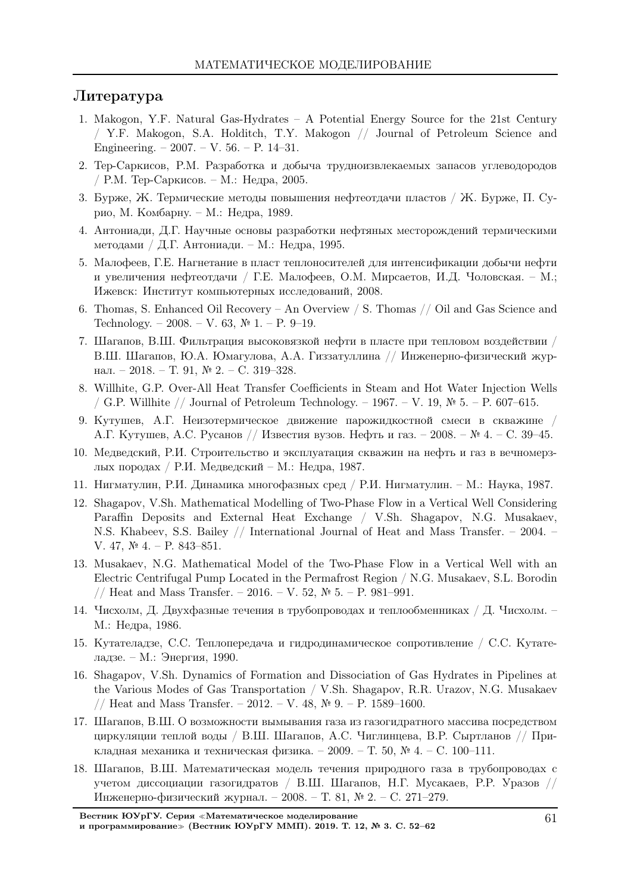### Литература

- 1. Makogon, Y.F. Natural Gas-Hydrates A Potential Energy Source for the 21st Century / Y.F. Makogon, S.A. Holditch, T.Y. Makogon // Journal of Petroleum Science and Engineering. – 2007. – V. 56. – P. 14–31.
- 2. Тер-Саркисов, Р.М. Разработка и добыча трудноизвлекаемых запасов углеводородов / Р.М. Тер-Саркисов. – М.: Недра, 2005.
- 3. Бурже, Ж. Термические методы повышения нефтеотдачи пластов / Ж. Бурже, П. Сурио, М. Комбарну. – М.: Недра, 1989.
- 4. Антониади, Д.Г. Научные основы разработки нефтяных месторождений термическими методами / Д.Г. Антониади. – М.: Недра, 1995.
- 5. Малофеев, Г.Е. Нагнетание в пласт теплоносителей для интенсификации добычи нефти и увеличения нефтеотдачи / Г.Е. Малофеев, О.М. Мирсаетов, И.Д. Чоловская. – М.; Ижевск: Институт компьютерных исследований, 2008.
- 6. Thomas, S. Enhanced Oil Recovery An Overview / S. Thomas // Oil and Gas Science and Technology. – 2008. – V. 63,  $\mathbb{N}^2$  1. – P. 9–19.
- 7. Шагапов, В.Ш. Фильтрация высоковязкой нефти в пласте при тепловом воздействии / В.Ш. Шагапов, Ю.А. Юмагулова, А.А. Гиззатуллина // Инженерно-физический журнал. – 2018. – Т. 91, № 2. – С. 319–328.
- 8. Willhite, G.P. Over-All Heat Transfer Coefficients in Steam and Hot Water Injection Wells / G.P. Willhite // Journal of Petroleum Technology. – 1967. – V. 19,  $\mathbb{N}^2$  5. – P. 607–615.
- 9. Кутушев, А.Г. Неизотермическое движение парожидкостной смеси в скважине / А.Г. Кутушев, А.С. Русанов // Известия вузов. Нефть и газ. – 2008. – № 4. – С. 39–45.
- 10. Медведский, Р.И. Строительство и эксплуатация скважин на нефть и газ в вечномерзлых породах / Р.И. Медведский – М.: Недра, 1987.
- 11. Нигматулин, Р.И. Динамика многофазных сред / Р.И. Нигматулин. М.: Наука, 1987.
- 12. Shagapov, V.Sh. Mathematical Modelling of Two-Phase Flow in a Vertical Well Considering Paraffin Deposits and External Heat Exchange / V.Sh. Shagapov, N.G. Musakaev, N.S. Khabeev, S.S. Bailey // International Journal of Heat and Mass Transfer. – 2004. – V. 47, № 4. – P. 843–851.
- 13. Musakaev, N.G. Mathematical Model of the Two-Phase Flow in a Vertical Well with an Electric Centrifugal Pump Located in the Permafrost Region / N.G. Musakaev, S.L. Borodin // Heat and Mass Transfer. – 2016. – V. 52, № 5. – P. 981–991.
- 14. Чисхолм, Д. Двухфазные течения в трубопроводах и теплообменниках / Д. Чисхолм. М.: Недра, 1986.
- 15. Кутателадзе, С.С. Теплопередача и гидродинамическое сопротивление / С.С. Кутателадзе. – М.: Энергия, 1990.
- 16. Shagapov, V.Sh. Dynamics of Formation and Dissociation of Gas Hydrates in Pipelines at the Various Modes of Gas Transportation / V.Sh. Shagapov, R.R. Urazov, N.G. Musakaev // Heat and Mass Transfer. – 2012. – V. 48, № 9. – P. 1589–1600.
- 17. Шагапов, В.Ш. О возможности вымывания газа из газогидратного массива посредством циркуляции теплой воды / В.Ш. Шагапов, А.С. Чиглинцева, В.Р. Сыртланов // Прикладная механика и техническая физика. – 2009. – Т. 50, № 4. – С. 100–111.
- 18. Шагапов, В.Ш. Математическая модель течения природного газа в трубопроводах с учетом диссоциации газогидратов / В.Ш. Шагапов, Н.Г. Мусакаев, Р.Р. Уразов // Инженерно-физический журнал. – 2008. – Т. 81, № 2. – С. 271–279.